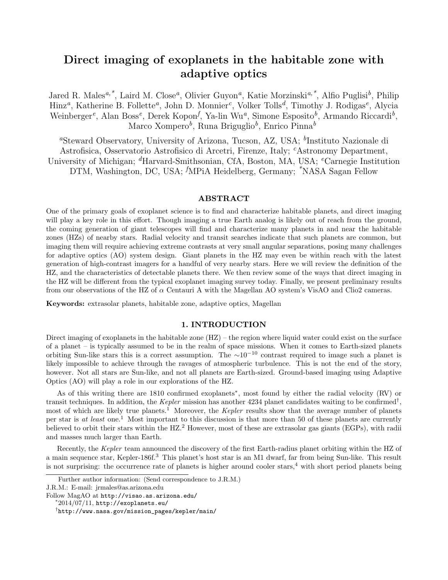# Direct imaging of exoplanets in the habitable zone with adaptive optics

Jared R. Males<sup>a,\*</sup>, Laird M. Close<sup>a</sup>, Olivier Guyon<sup>a</sup>, Katie Morzinski<sup>a,\*</sup>, Alfio Puglisi<sup>b</sup>, Philip Hinz<sup>a</sup>, Katherine B. Follette<sup>a</sup>, John D. Monnier<sup>c</sup>, Volker Tolls<sup>d</sup>, Timothy J. Rodigas<sup>e</sup>, Alycia Weinberger<sup>e</sup>, Alan Boss<sup>e</sup>, Derek Kopon<sup>f</sup>, Ya-lin Wu<sup>a</sup>, Simone Esposito<sup>b</sup>, Armando Riccardi<sup>b</sup>, Marco Xompero<sup>b</sup>, Runa Briguglio<sup>b</sup>, Enrico Pinna<sup>b</sup>

<sup>a</sup>Steward Observatory, University of Arizona, Tucson, AZ, USA; <sup>b</sup>Instituto Nazionale di Astrofisica, Osservatorio Astrofisico di Arcetri, Firenze, Italy; <sup>c</sup>Astronomy Department, University of Michigan; <sup>d</sup>Harvard-Smithsonian, CfA, Boston, MA, USA; <sup>e</sup>Carnegie Institution DTM, Washington, DC, USA; <sup>*f*</sup>MPiA Heidelberg, Germany; <sup>\*</sup>NASA Sagan Fellow

## ABSTRACT

One of the primary goals of exoplanet science is to find and characterize habitable planets, and direct imaging will play a key role in this effort. Though imaging a true Earth analog is likely out of reach from the ground, the coming generation of giant telescopes will find and characterize many planets in and near the habitable zones (HZs) of nearby stars. Radial velocity and transit searches indicate that such planets are common, but imaging them will require achieving extreme contrasts at very small angular separations, posing many challenges for adaptive optics (AO) system design. Giant planets in the HZ may even be within reach with the latest generation of high-contrast imagers for a handful of very nearby stars. Here we will review the definition of the HZ, and the characteristics of detectable planets there. We then review some of the ways that direct imaging in the HZ will be different from the typical exoplanet imaging survey today. Finally, we present preliminary results from our observations of the HZ of  $\alpha$  Centauri A with the Magellan AO system's VisAO and Clio2 cameras.

Keywords: extrasolar planets, habitable zone, adaptive optics, Magellan

## 1. INTRODUCTION

Direct imaging of exoplanets in the habitable zone (HZ) – the region where liquid water could exist on the surface of a planet – is typically assumed to be in the realm of space missions. When it comes to Earth-sized planets orbiting Sun-like stars this is a correct assumption. The  $\sim 10^{-10}$  contrast required to image such a planet is likely impossible to achieve through the ravages of atmospheric turbulence. This is not the end of the story, however. Not all stars are Sun-like, and not all planets are Earth-sized. Ground-based imaging using Adaptive Optics (AO) will play a role in our explorations of the HZ.

As of this writing there are 1810 confirmed exoplanets<sup>\*</sup>, most found by either the radial velocity (RV) or transit techniques. In addition, the *Kepler* mission has another 4234 planet candidates waiting to be confirmed† , most of which are likely true planets.<sup>1</sup> Moreover, the *Kepler* results show that the average number of planets per star is *at least* one.<sup>1</sup> Most important to this discussion is that more than 50 of these planets are currently believed to orbit their stars within the HZ.<sup>2</sup> However, most of these are extrasolar gas giants (EGPs), with radii and masses much larger than Earth.

Recently, the *Kepler* team announced the discovery of the first Earth-radius planet orbiting within the HZ of a main sequence star, Kepler-186f.<sup>3</sup> This planet's host star is an M1 dwarf, far from being Sun-like. This result is not surprising: the occurrence rate of planets is higher around cooler stars,<sup>4</sup> with short period planets being

Follow MagAO at http://visao.as.arizona.edu/

Further author information: (Send correspondence to J.R.M.)

J.R.M.: E-mail: jrmales@as.arizona.edu

 $*2014/07/11$ , http://exoplanets.eu/

<sup>†</sup> http://www.nasa.gov/mission\_pages/kepler/main/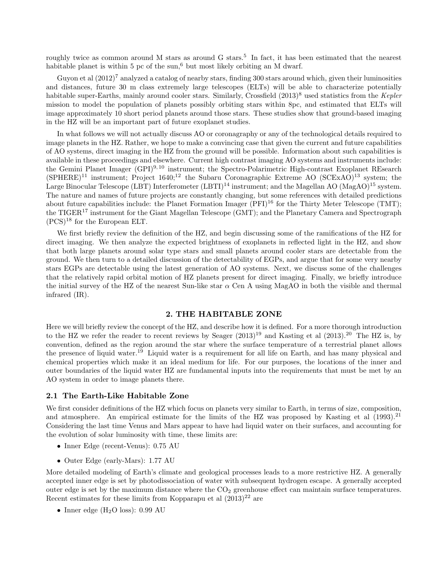roughly twice as common around M stars as around G stars.<sup>5</sup> In fact, it has been estimated that the nearest habitable planet is within 5 pc of the sun,<sup>6</sup> but most likely orbiting an M dwarf.

Guyon et al  $(2012)^7$  analyzed a catalog of nearby stars, finding 300 stars around which, given their luminosities and distances, future 30 m class extremely large telescopes (ELTs) will be able to characterize potentially habitable super-Earths, mainly around cooler stars. Similarly, Crossfield (2013)<sup>8</sup> used statistics from the *Kepler* mission to model the population of planets possibly orbiting stars within 8pc, and estimated that ELTs will image approximately 10 short period planets around those stars. These studies show that ground-based imaging in the HZ will be an important part of future exoplanet studies.

In what follows we will not actually discuss AO or coronagraphy or any of the technological details required to image planets in the HZ. Rather, we hope to make a convincing case that given the current and future capabilities of AO systems, direct imaging in the HZ from the ground will be possible. Information about such capabilities is available in these proceedings and elsewhere. Current high contrast imaging AO systems and instruments include: the Gemini Planet Imager (GPI)<sup>9, 10</sup> instrument; the Spectro-Polarimetric High-contrast Exoplanet REsearch  $(SPHERE)^{11}$  instrument; Project 1640;<sup>12</sup> the Subaru Coronagraphic Extreme AO (SCExAO)<sup>13</sup> system; the Large Binocular Telescope (LBT) Interferometer  $(LBTI)^{14}$  instrument; and the Magellan AO (MagAO)<sup>15</sup> system. The nature and names of future projects are constantly changing, but some references with detailed predictions about future capabilities include: the Planet Formation Imager  $(PFI)^{16}$  for the Thirty Meter Telescope (TMT); the TIGER<sup>17</sup> instrument for the Giant Magellan Telescope (GMT); and the Planetary Camera and Spectrograph  $(PCS)^{18}$  for the European ELT.

We first briefly review the definition of the HZ, and begin discussing some of the ramifications of the HZ for direct imaging. We then analyze the expected brightness of exoplanets in reflected light in the HZ, and show that both large planets around solar type stars and small planets around cooler stars are detectable from the ground. We then turn to a detailed discussion of the detectability of EGPs, and argue that for some very nearby stars EGPs are detectable using the latest generation of AO systems. Next, we discuss some of the challenges that the relatively rapid orbital motion of HZ planets present for direct imaging. Finally, we briefly introduce the initial survey of the HZ of the nearest Sun-like star  $\alpha$  Cen A using MagAO in both the visible and thermal infrared (IR).

# 2. THE HABITABLE ZONE

Here we will briefly review the concept of the HZ, and describe how it is defined. For a more thorough introduction to the HZ we refer the reader to recent reviews by Seager  $(2013)^{19}$  and Kasting et al  $(2013)^{20}$  The HZ is, by convention, defined as the region around the star where the surface temperature of a terrestrial planet allows the presence of liquid water.<sup>19</sup> Liquid water is a requirement for all life on Earth, and has many physical and chemical properties which make it an ideal medium for life. For our purposes, the locations of the inner and outer boundaries of the liquid water HZ are fundamental inputs into the requirements that must be met by an AO system in order to image planets there.

#### 2.1 The Earth-Like Habitable Zone

We first consider definitions of the HZ which focus on planets very similar to Earth, in terms of size, composition, and atmosphere. An empirical estimate for the limits of the HZ was proposed by Kasting et al  $(1993).^{21}$ Considering the last time Venus and Mars appear to have had liquid water on their surfaces, and accounting for the evolution of solar luminosity with time, these limits are:

- Inner Edge (recent-Venus): 0.75 AU
- Outer Edge (early-Mars): 1.77 AU

More detailed modeling of Earth's climate and geological processes leads to a more restrictive HZ. A generally accepted inner edge is set by photodissociation of water with subsequent hydrogen escape. A generally accepted outer edge is set by the maximum distance where the  $CO<sub>2</sub>$  greenhouse effect can maintain surface temperatures. Recent estimates for these limits from Kopparapu et al  $(2013)^{22}$  are

• Inner edge  $(H_2O \text{ loss})$ : 0.99 AU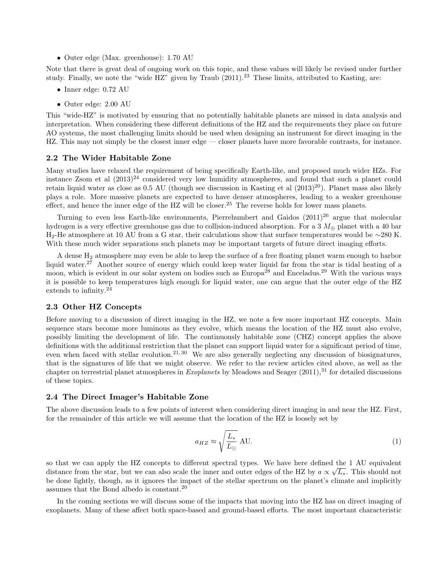• Outer edge (Max. greenhouse): 1.70 AU

Note that there is great deal of ongoing work on this topic, and these values will likely be revised under further study. Finally, we note the "wide HZ" given by Traub  $(2011).^{23}$  These limits, attributed to Kasting, are:

- Inner edge: 0.72 AU
- Outer edge: 2.00 AU

This "wide-HZ" is motivated by ensuring that no potentially habitable planets are missed in data analysis and interpretation. When considering these different definitions of the HZ and the requirements they place on future AO systems, the most challenging limits should be used when designing an instrument for direct imaging in the HZ. This may not simply be the closest inner edge — closer planets have more favorable contrasts, for instance.

#### 2.2 The Wider Habitable Zone

Many studies have relaxed the requirement of being specifically Earth-like, and proposed much wider HZs. For instance Zsom et al  $(2013)^{24}$  considered very low humidity atmospheres, and found that such a planet could retain liquid water as close as 0.5 AU (though see discussion in Kasting et al  $(2013)^{20}$ ). Planet mass also likely plays a role. More massive planets are expected to have denser atmospheres, leading to a weaker greenhouse effect, and hence the inner edge of the HZ will be closer.<sup>25</sup> The reverse holds for lower mass planets.

Turning to even less Earth-like environments, Pierrehumbert and Gaidos  $(2011)^{26}$  argue that molecular hydrogen is a very effective greenhouse gas due to collision-induced absorption. For a 3  $M_{\oplus}$  planet with a 40 bar H2-He atmosphere at 10 AU from a G star, their calculations show that surface temperatures would be ∼280 K. With these much wider separations such planets may be important targets of future direct imaging efforts.

A dense H<sup>2</sup> atmosphere may even be able to keep the surface of a free floating planet warm enough to harbor liquid water.<sup>27</sup> Another source of energy which could keep water liquid far from the star is tidal heating of a moon, which is evident in our solar system on bodies such as Europa<sup>28</sup> and Enceladus.<sup>29</sup> With the various ways it is possible to keep temperatures high enough for liquid water, one can argue that the outer edge of the HZ extends to infinity.<sup>24</sup>

## 2.3 Other HZ Concepts

Before moving to a discussion of direct imaging in the HZ, we note a few more important HZ concepts. Main sequence stars become more luminous as they evolve, which means the location of the HZ must also evolve, possibly limiting the development of life. The continuously habitable zone (CHZ) concept applies the above definitions with the additional restriction that the planet can support liquid water for a significant period of time, even when faced with stellar evolution.<sup>21, 30</sup> We are also generally neglecting any discussion of biosignatures, that is the signatures of life that we might observe. We refer to the review articles cited above, as well as the chapter on terrestrial planet atmospheres in *Exoplanets* by Meadows and Seager (2011),<sup>31</sup> for detailed discussions of these topics.

## 2.4 The Direct Imager's Habitable Zone

The above discussion leads to a few points of interest when considering direct imaging in and near the HZ. First, for the remainder of this article we will assume that the location of the HZ is loosely set by

$$
a_{HZ} \approx \sqrt{\frac{L_*}{L_\odot}} \text{ AU.} \tag{1}
$$

so that we can apply the HZ concepts to different spectral types. We have here defined the 1 AU equivalent distance from the star, but we can also scale the inner and outer edges of the HZ by  $a \propto \sqrt{L_*}$ . This should not be done lightly, though, as it ignores the impact of the stellar spectrum on the planet's climate and implicitly assumes that the Bond albedo is constant.<sup>20</sup>

In the coming sections we will discuss some of the impacts that moving into the HZ has on direct imaging of exoplanets. Many of these affect both space-based and ground-based efforts. The most important characteristic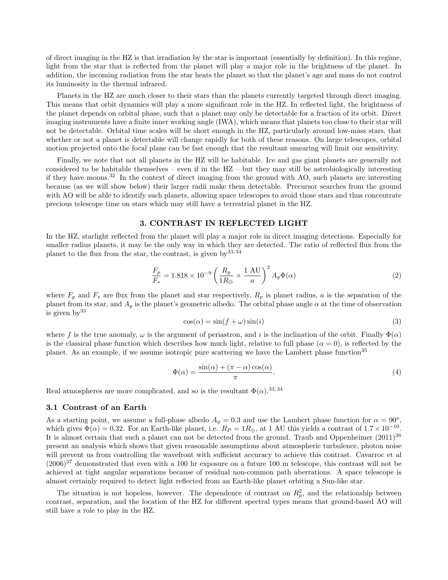of direct imaging in the HZ is that irradiation by the star is important (essentially by definition). In this regime, light from the star that is reflected from the planet will play a major role in the brightness of the planet. In addition, the incoming radiation from the star heats the planet so that the planet's age and mass do not control its luminosity in the thermal infrared.

Planets in the HZ are much closer to their stars than the planets currently targeted through direct imaging. This means that orbit dynamics will play a more significant role in the HZ. In reflected light, the brightness of the planet depends on orbital phase, such that a planet may only be detectable for a fraction of its orbit. Direct imaging instruments have a finite inner working angle (IWA), which means that planets too close to their star will not be detectable. Orbital time scales will be short enough in the HZ, particularly around low-mass stars, that whether or not a planet is detectable will change rapidly for both of these reasons. On large telescopes, orbital motion projected onto the focal plane can be fast enough that the resultant smearing will limit our sensitivity.

Finally, we note that not all planets in the HZ will be habitable. Ice and gas giant planets are generally not considered to be habitable themselves – even if in the HZ – but they may still be astrobiologically interesting if they have moons.<sup>32</sup> In the context of direct imaging from the ground with AO, such planets are interesting because (as we will show below) their larger radii make them detectable. Precursor searches from the ground with AO will be able to identify such planets, allowing space telescopes to avoid those stars and thus concentrate precious telescope time on stars which may still have a terrestrial planet in the HZ.

# 3. CONTRAST IN REFLECTED LIGHT

In the HZ, starlight reflected from the planet will play a major role in direct imaging detections. Especially for smaller radius planets, it may be the only way in which they are detected. The ratio of reflected flux from the planet to the flux from the star, the contrast, is given by  $(33, 34)$ 

$$
\frac{F_p}{F_*} = 1.818 \times 10^{-9} \left( \frac{R_p}{1R_{\oplus}} \times \frac{1 \text{ AU}}{a} \right)^2 A_g \Phi(\alpha) \tag{2}
$$

where  $F_p$  and  $F_*$  are flux from the planet and star respectively,  $R_p$  is planet radius, a is the separation of the planet from its star, and  $A<sub>q</sub>$  is the planet's geometric albedo. The orbital phase angle  $\alpha$  at the time of observation is given by  $33$ 

$$
\cos(\alpha) = \sin(f + \omega)\sin(i) \tag{3}
$$

where f is the true anomaly,  $\omega$  is the argument of periastron, and i is the inclination of the orbit. Finally  $\Phi(\alpha)$ is the classical phase function which describes how much light, relative to full phase  $(\alpha = 0)$ , is reflected by the planet. As an example, if we assume isotropic pure scattering we have the Lambert phase function<sup>35</sup>

$$
\Phi(\alpha) = \frac{\sin(\alpha) + (\pi - \alpha)\cos(\alpha)}{\pi}.
$$
\n(4)

Real atmospheres are more complicated, and so is the resultant  $\Phi(\alpha)$ .<sup>33,34</sup>

#### 3.1 Contrast of an Earth

As a starting point, we assume a full-phase albedo  $A<sub>g</sub> = 0.3$  and use the Lambert phase function for  $\alpha = 90^{\circ}$ , which gives  $\Phi(\alpha) = 0.32$ . For an Earth-like planet, i.e.  $R_P = 1R_{\oplus}$ , at 1 AU this yields a contrast of  $1.7 \times 10^{-10}$ . It is almost certain that such a planet can not be detected from the ground. Traub and Oppenheimer  $(2011)^{36}$ present an analysis which shows that given reasonable assumptions about atmospheric turbulence, photon noise will prevent us from controlling the wavefront with sufficient accuracy to achieve this contrast. Cavarroc et al  $(2006)^{37}$  demonstrated that even with a 100 hr exposure on a future 100 m telescope, this contrast will not be achieved at tight angular separations because of residual non-common path aberrations. A space telescope is almost certainly required to detect light reflected from an Earth-like planet orbiting a Sun-like star.

The situation is not hopeless, however. The dependence of contrast on  $R_p^2$ , and the relationship between contrast, separation, and the location of the HZ for different spectral types means that ground-based AO will still have a role to play in the HZ.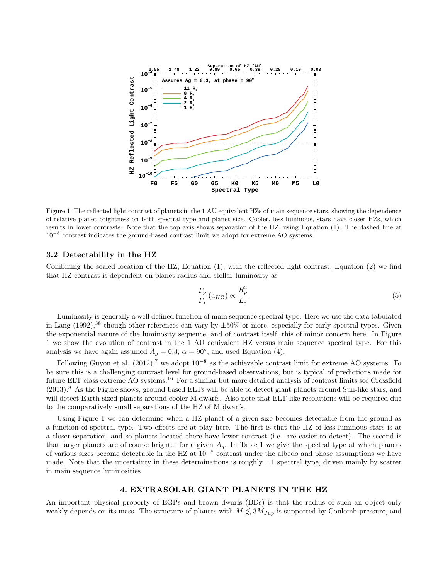

Figure 1. The reflected light contrast of planets in the 1 AU equivalent HZs of main sequence stars, showing the dependence of relative planet brightness on both spectral type and planet size. Cooler, less luminous, stars have closer HZs, which results in lower contrasts. Note that the top axis shows separation of the HZ, using Equation (1). The dashed line at 10<sup>−</sup><sup>8</sup> contrast indicates the ground-based contrast limit we adopt for extreme AO systems.

## 3.2 Detectability in the HZ

Combining the scaled location of the HZ, Equation (1), with the reflected light contrast, Equation (2) we find that HZ contrast is dependent on planet radius and stellar luminosity as

$$
\frac{F_p}{F_*} \left( a_{HZ} \right) \propto \frac{R_p^2}{L_*}.\tag{5}
$$

Luminosity is generally a well defined function of main sequence spectral type. Here we use the data tabulated in Lang  $(1992)$ ,<sup>38</sup> though other references can vary by  $\pm 50\%$  or more, especially for early spectral types. Given the exponential nature of the luminosity sequence, and of contrast itself, this of minor concern here. In Figure 1 we show the evolution of contrast in the 1 AU equivalent HZ versus main sequence spectral type. For this analysis we have again assumed  $A_g = 0.3$ ,  $\alpha = 90^o$ , and used Equation (4).

Following Guyon et al.  $(2012)$ ,<sup>7</sup> we adopt  $10^{-8}$  as the achievable contrast limit for extreme AO systems. To be sure this is a challenging contrast level for ground-based observations, but is typical of predictions made for future ELT class extreme AO systems.<sup>16</sup> For a similar but more detailed analysis of contrast limits see Crossfield (2013).<sup>8</sup> As the Figure shows, ground based ELTs will be able to detect giant planets around Sun-like stars, and will detect Earth-sized planets around cooler M dwarfs. Also note that ELT-like resolutions will be required due to the comparatively small separations of the HZ of M dwarfs.

Using Figure 1 we can determine when a HZ planet of a given size becomes detectable from the ground as a function of spectral type. Two effects are at play here. The first is that the HZ of less luminous stars is at a closer separation, and so planets located there have lower contrast (i.e. are easier to detect). The second is that larger planets are of course brighter for a given  $A<sub>g</sub>$ . In Table 1 we give the spectral type at which planets of various sizes become detectable in the HZ at  $10^{-8}$  contrast under the albedo and phase assumptions we have made. Note that the uncertainty in these determinations is roughly  $\pm 1$  spectral type, driven mainly by scatter in main sequence luminosities.

#### 4. EXTRASOLAR GIANT PLANETS IN THE HZ

An important physical property of EGPs and brown dwarfs (BDs) is that the radius of such an object only weakly depends on its mass. The structure of planets with  $M \lesssim 3M_{Jup}$  is supported by Coulomb pressure, and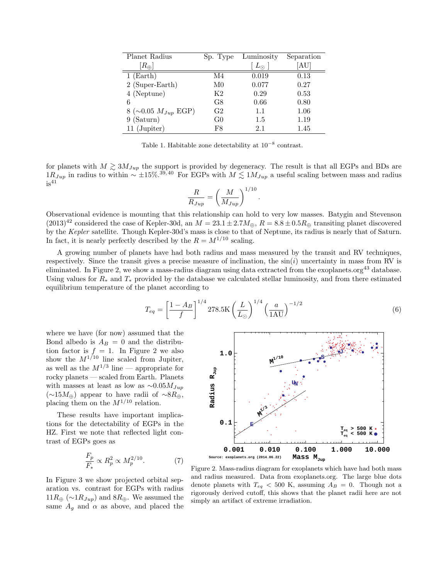| Planet Radius           | Sp. Type       | Luminosity  | Separation |
|-------------------------|----------------|-------------|------------|
| $[R_\oplus]$            |                | $L_{\odot}$ | [AU]       |
| $1$ (Earth)             | M4             | 0.019       | 0.13       |
| 2 (Super-Earth)         | M0             | 0.077       | 0.27       |
| 4 (Neptune)             | K2             | 0.29        | 0.53       |
| 6                       | G8             | 0.66        | 0.80       |
| 8 (~0.05 $M_{Jup}$ EGP) | G <sub>2</sub> | 1.1         | 1.06       |
| 9 (Saturn)              | G <sub>0</sub> | 1.5         | 1.19       |
| 11 (Jupiter)            | F8             | 2.1         | 1.45       |

Table 1. Habitable zone detectability at  $10^{-8}$  contrast.

for planets with  $M \gtrsim 3M_{Jup}$  the support is provided by degeneracy. The result is that all EGPs and BDs are  $1R_{Jup}$  in radius to within ~ ±15%.<sup>39,40</sup> For EGPs with  $M \leq 1M_{Jup}$  a useful scaling between mass and radius  $is<sup>41</sup>$ 

$$
\frac{R}{R_{Jup}} = \left(\frac{M}{M_{Jup}}\right)^{1/10}
$$

Observational evidence is mounting that this relationship can hold to very low masses. Batygin and Stevenson  $(2013)^{42}$  considered the case of Kepler-30d, an  $M = 23.1 \pm 2.7 M_{\oplus}$ ,  $R = 8.8 \pm 0.5 R_{\oplus}$  transiting planet discovered by the *Kepler* satellite. Though Kepler-30d's mass is close to that of Neptune, its radius is nearly that of Saturn. In fact, it is nearly perfectly described by the  $R = M^{1/10}$  scaling.

A growing number of planets have had both radius and mass measured by the transit and RV techniques, respectively. Since the transit gives a precise measure of inclination, the  $sin(i)$  uncertainty in mass from RV is eliminated. In Figure 2, we show a mass-radius diagram using data extracted from the exoplanets.org<sup>43</sup> database. Using values for  $R_*$  and  $T_*$  provided by the database we calculated stellar luminosity, and from there estimated equilibrium temperature of the planet according to

$$
T_{eq} = \left[\frac{1 - A_B}{f}\right]^{1/4} 278.5 \text{K} \left(\frac{L}{L_{\odot}}\right)^{1/4} \left(\frac{a}{1 \text{AU}}\right)^{-1/2} \tag{6}
$$

.

where we have (for now) assumed that the Bond albedo is  $A_B = 0$  and the distribution factor is  $f = 1$ . In Figure 2 we also show the  $M^{1/10}$  line scaled from Jupiter, as well as the  $M^{1/3}$  line — appropriate for rocky planets — scaled from Earth. Planets with masses at least as low as  $\sim 0.05 M_{Jup}$ (∼15 $M_{\oplus}$ ) appear to have radii of ∼8 $R_{\oplus}$ , placing them on the  $M^{1/10}$  relation.

These results have important implications for the detectability of EGPs in the HZ. First we note that reflected light contrast of EGPs goes as

$$
\frac{F_p}{F_*} \propto R_p^2 \propto M_p^{2/10}.\tag{7}
$$

In Figure 3 we show projected orbital separation vs. contrast for EGPs with radius  $11R_{\oplus}$  (~1 $R_{Jup}$ ) and 8 $R_{\oplus}$ . We assumed the same  $A_g$  and  $\alpha$  as above, and placed the



Figure 2. Mass-radius diagram for exoplanets which have had both mass and radius measured. Data from exoplanets.org. The large blue dots denote planets with  $T_{eq}$  < 500 K, assuming  $A_B = 0$ . Though not a rigorously derived cutoff, this shows that the planet radii here are not simply an artifact of extreme irradiation.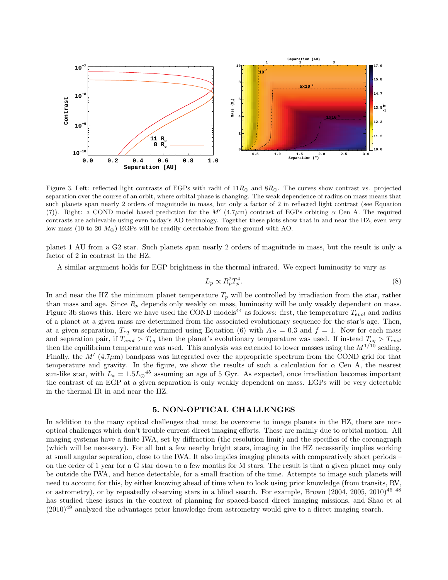

Figure 3. Left: reflected light contrasts of EGPs with radii of  $11R_{\oplus}$  and  $8R_{\oplus}$ . The curves show contrast vs. projected separation over the course of an orbit, where orbital phase is changing. The weak dependence of radius on mass means that such planets span nearly 2 orders of magnitude in mass, but only a factor of 2 in reflected light contrast (see Equation (7)). Right: a COND model based prediction for the M'  $(4.7\mu m)$  contrast of EGPs orbiting  $\alpha$  Cen A. The required contrasts are achievable using even today's AO technology. Together these plots show that in and near the HZ, even very low mass (10 to 20  $M_{\oplus}$ ) EGPs will be readily detectable from the ground with AO.

planet 1 AU from a G2 star. Such planets span nearly 2 orders of magnitude in mass, but the result is only a factor of 2 in contrast in the HZ.

A similar argument holds for EGP brightness in the thermal infrared. We expect luminosity to vary as

$$
L_p \propto R_p^2 T_p^4. \tag{8}
$$

In and near the HZ the minimum planet temperature  $T_p$  will be controlled by irradiation from the star, rather than mass and age. Since  $R_p$  depends only weakly on mass, luminosity will be only weakly dependent on mass. Figure 3b shows this. Here we have used the COND models<sup>44</sup> as follows: first, the temperature  $T_{evol}$  and radius of a planet at a given mass are determined from the associated evolutionary sequence for the star's age. Then, at a given separation,  $T_{eq}$  was determined using Equation (6) with  $A_B = 0.3$  and  $f = 1$ . Now for each mass and separation pair, if  $T_{evol} > T_{eq}$  then the planet's evolutionary temperature was used. If instead  $T_{eq} > T_{evol}$ then the equilibrium temperature was used. This analysis was extended to lower masses using the  $M^{1/10}$  scaling. Finally, the  $M'$  (4.7 $\mu$ m) bandpass was integrated over the appropriate spectrum from the COND grid for that temperature and gravity. In the figure, we show the results of such a calculation for  $\alpha$  Cen A, the nearest sun-like star, with  $L_* = 1.5L_{\odot}^{45}$  assuming an age of 5 Gyr. As expected, once irradiation becomes important the contrast of an EGP at a given separation is only weakly dependent on mass. EGPs will be very detectable in the thermal IR in and near the HZ.

# 5. NON-OPTICAL CHALLENGES

In addition to the many optical challenges that must be overcome to image planets in the HZ, there are nonoptical challenges which don't trouble current direct imaging efforts. These are mainly due to orbital motion. All imaging systems have a finite IWA, set by diffraction (the resolution limit) and the specifics of the coronagraph (which will be necessary). For all but a few nearby bright stars, imaging in the HZ necessarily implies working at small angular separation, close to the IWA. It also implies imaging planets with comparatively short periods – on the order of 1 year for a G star down to a few months for M stars. The result is that a given planet may only be outside the IWA, and hence detectable, for a small fraction of the time. Attempts to image such planets will need to account for this, by either knowing ahead of time when to look using prior knowledge (from transits, RV, or astrometry), or by repeatedly observing stars in a blind search. For example, Brown  $(2004, 2005, 2010)^{46-48}$ has studied these issues in the context of planning for spaced-based direct imaging missions, and Shao et al  $(2010)^{49}$  analyzed the advantages prior knowledge from astrometry would give to a direct imaging search.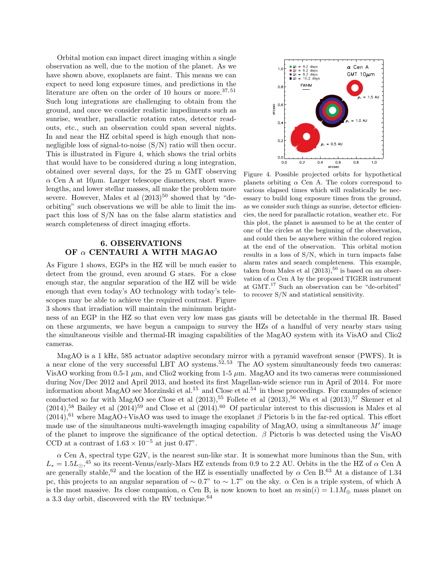Orbital motion can impact direct imaging within a single observation as well, due to the motion of the planet. As we have shown above, exoplanets are faint. This means we can expect to need long exposure times, and predictions in the literature are often on the order of 10 hours or more.<sup>37,51</sup> Such long integrations are challenging to obtain from the ground, and once we consider realistic impediments such as sunrise, weather, parallactic rotation rates, detector readouts, etc., such an observation could span several nights. In and near the HZ orbital speed is high enough that nonnegligible loss of signal-to-noise (S/N) ratio will then occur. This is illustrated in Figure 4, which shows the trial orbits that would have to be considered during a long integration, obtained over several days, for the 25 m GMT observing  $\alpha$  Cen A at 10 $\mu$ m. Larger telescope diameters, short wavelengths, and lower stellar masses, all make the problem more severe. However, Males et al  $(2013)^{50}$  showed that by "deorbiting" such observations we will be able to limit the impact this loss of S/N has on the false alarm statistics and search completeness of direct imaging efforts.

# 6. OBSERVATIONS OF  $\alpha$  CENTAURI A WITH MAGAO

As Figure 1 shows, EGPs in the HZ will be much easier to detect from the ground, even around G stars. For a close enough star, the angular separation of the HZ will be wide enough that even today's AO technology with today's telescopes may be able to achieve the required contrast. Figure 3 shows that irradiation will maintain the minimum bright-



Figure 4. Possible projected orbits for hypothetical planets orbiting  $\alpha$  Cen A. The colors correspond to various elapsed times which will realistically be necessary to build long exposure times from the ground, as we consider such things as sunrise, detector efficiencies, the need for parallactic rotation, weather etc. For this plot, the planet is assumed to be at the center of one of the circles at the beginning of the observation, and could then be anywhere within the colored region at the end of the observation. This orbital motion results in a loss of S/N, which in turn impacts false alarm rates and search completeness. This example, taken from Males et al  $(2013),^{50}$  is based on an observation of  $\alpha$  Cen A by the proposed TIGER instrument at GMT.<sup>17</sup> Such an observation can be "de-orbited" to recover S/N and statistical sensitivity.

ness of an EGP in the HZ so that even very low mass gas giants will be detectable in the thermal IR. Based on these arguments, we have begun a campaign to survey the HZs of a handful of very nearby stars using the simultaneous visible and thermal-IR imaging capabilities of the MagAO system with its VisAO and Clio2 cameras.

MagAO is a 1 kHz, 585 actuator adaptive secondary mirror with a pyramid wavefront sensor (PWFS). It is a near clone of the very successful LBT AO systems.<sup>52, 53</sup> The AO system simultaneously feeds two cameras: VisAO working from 0.5-1  $\mu$ m, and Clio2 working from 1-5  $\mu$ m. MagAO and its two cameras were commissioned during Nov/Dec 2012 and April 2013, and hosted its first Magellan-wide science run in April of 2014. For more information about MagAO see Morzinski et al.<sup>15</sup> and Close et al.<sup>54</sup> in these proceedings. For examples of science conducted so far with MagAO see Close et al  $(2013),^{55}$  Follete et al  $(2013),^{56}$  Wu et al  $(2013),^{57}$  Skemer et al  $(2014)$ ,<sup>58</sup> Bailey et al  $(2014)$ <sup>59</sup> and Close et al  $(2014)$ .<sup>60</sup> Of particular interest to this discussion is Males et al  $(2014),<sup>61</sup>$  where MagAO+VisAO was used to image the exoplanet  $\beta$  Pictoris b in the far-red optical. This effort made use of the simultaneous multi-wavelength imaging capability of MagAO, using a simultaneous  $M'$  image of the planet to improve the significance of the optical detection.  $\beta$  Pictoris b was detected using the VisAO CCD at a contrast of  $1.63 \times 10^{-5}$  at just 0.47".

 $\alpha$  Cen A, spectral type G2V, is the nearest sun-like star. It is somewhat more luminous than the Sun, with  $L_* = 1.5L_{\odot}$ ,<sup>45</sup> so its recent-Venus/early-Mars HZ extends from 0.9 to 2.2 AU. Orbits in the the HZ of  $\alpha$  Cen A are generally stable,<sup>62</sup> and the location of the HZ is essentially unaffected by  $\alpha$  Cen B.<sup>63</sup> At a distance of 1.34 pc, this projects to an angular separation of  $\sim 0.7$ " to  $\sim 1.7$ " on the sky.  $\alpha$  Cen is a triple system, of which A is the most massive. Its close companion,  $\alpha$  Cen B, is now known to host an  $m \sin(i) = 1.1 M_{\oplus}$  mass planet on a 3.3 day orbit, discovered with the RV technique. $64$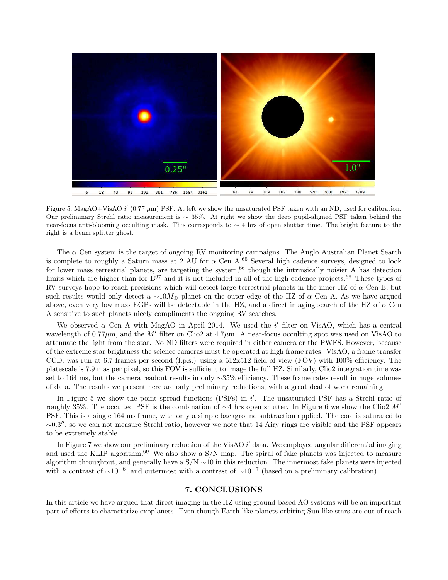

Figure 5. MagAO+VisAO  $i'$  (0.77  $\mu$ m) PSF. At left we show the unsaturated PSF taken with an ND, used for calibration. Our preliminary Strehl ratio measurement is ∼ 35%. At right we show the deep pupil-aligned PSF taken behind the near-focus anti-blooming occulting mask. This corresponds to ~ 4 hrs of open shutter time. The bright feature to the right is a beam splitter ghost.

The  $\alpha$  Cen system is the target of ongoing RV monitoring campaigns. The Anglo Australian Planet Search is complete to roughly a Saturn mass at 2 AU for  $\alpha$  Cen A.<sup>65</sup> Several high cadence surveys, designed to look for lower mass terrestrial planets, are targeting the system,<sup>66</sup> though the intrinsically noisier A has detection limits which are higher than for B<sup>67</sup> and it is not included in all of the high cadence projects.<sup>68</sup> These types of RV surveys hope to reach precisions which will detect large terrestrial planets in the inner HZ of  $\alpha$  Cen B, but such results would only detect a  $\sim 10M_{\oplus}$  planet on the outer edge of the HZ of  $\alpha$  Cen A. As we have argued above, even very low mass EGPs will be detectable in the HZ, and a direct imaging search of the HZ of  $\alpha$  Cen A sensitive to such planets nicely compliments the ongoing RV searches.

We observed  $\alpha$  Cen A with MagAO in April 2014. We used the i' filter on VisAO, which has a central wavelength of  $0.77\mu$ m, and the M' filter on Clio2 at  $4.7\mu$ m. A near-focus occulting spot was used on VisAO to attenuate the light from the star. No ND filters were required in either camera or the PWFS. However, because of the extreme star brightness the science cameras must be operated at high frame rates. VisAO, a frame transfer CCD, was run at 6.7 frames per second (f.p.s.) using a  $512x512$  field of view (FOV) with  $100\%$  efficiency. The platescale is 7.9 mas per pixel, so this FOV is sufficient to image the full HZ. Similarly, Clio2 integration time was set to 164 ms, but the camera readout results in only ∼35% efficiency. These frame rates result in huge volumes of data. The results we present here are only preliminary reductions, with a great deal of work remaining.

In Figure 5 we show the point spread functions (PSFs) in i'. The unsaturated PSF has a Strehl ratio of roughly 35%. The occulted PSF is the combination of  $\sim$ 4 hrs open shutter. In Figure 6 we show the Clio2 M' PSF. This is a single 164 ms frame, with only a simple background subtraction applied. The core is saturated to ∼0.3 ′′, so we can not measure Strehl ratio, however we note that 14 Airy rings are visible and the PSF appears to be extremely stable.

In Figure 7 we show our preliminary reduction of the VisAO i' data. We employed angular differential imaging and used the KLIP algorithm.<sup>69</sup> We also show a S/N map. The spiral of fake planets was injected to measure algorithm throughput, and generally have a S/N ∼10 in this reduction. The innermost fake planets were injected with a contrast of  $\sim 10^{-6}$ , and outermost with a contrast of  $\sim 10^{-7}$  (based on a preliminary calibration).

## 7. CONCLUSIONS

In this article we have argued that direct imaging in the HZ using ground-based AO systems will be an important part of efforts to characterize exoplanets. Even though Earth-like planets orbiting Sun-like stars are out of reach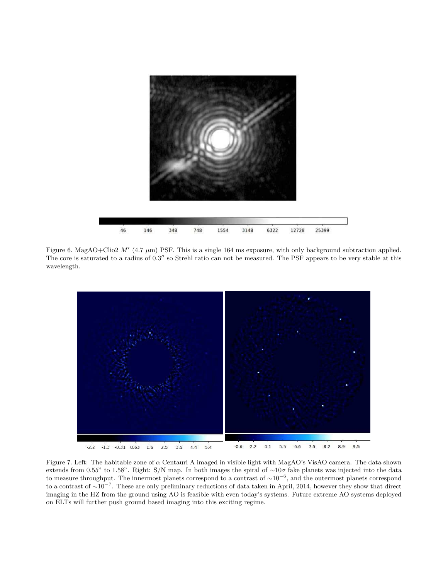

Figure 6. MagAO+Clio2  $M'$  (4.7  $\mu$ m) PSF. This is a single 164 ms exposure, with only background subtraction applied. The core is saturated to a radius of 0.3" so Strehl ratio can not be measured. The PSF appears to be very stable at this wavelength.



Figure 7. Left: The habitable zone of α Centauri A imaged in visible light with MagAO's VisAO camera. The data shown extends from 0.55" to 1.58". Right: S/N map. In both images the spiral of  $\sim 10\sigma$  fake planets was injected into the data to measure throughput. The innermost planets correspond to a contrast of ∼10<sup>−</sup><sup>6</sup> , and the outermost planets correspond to a contrast of ∼10<sup>−</sup><sup>7</sup> . These are only preliminary reductions of data taken in April, 2014, however they show that direct imaging in the HZ from the ground using AO is feasible with even today's systems. Future extreme AO systems deployed on ELTs will further push ground based imaging into this exciting regime.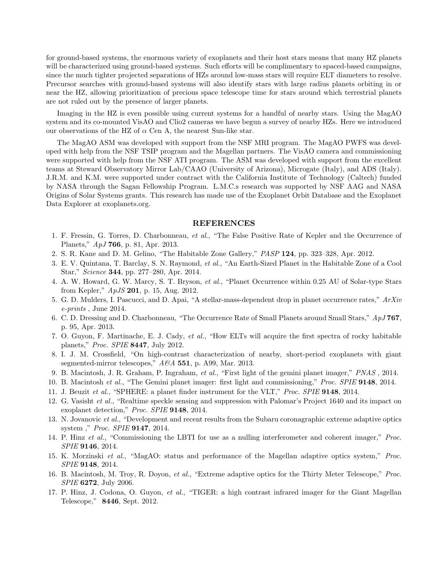for ground-based systems, the enormous variety of exoplanets and their host stars means that many HZ planets will be characterized using ground-based systems. Such efforts will be complimentary to spaced-based campaigns, since the much tighter projected separations of HZs around low-mass stars will require ELT diameters to resolve. Precursor searches with ground-based systems will also identify stars with large radius planets orbiting in or near the HZ, allowing prioritization of precious space telescope time for stars around which terrestrial planets are not ruled out by the presence of larger planets.

Imaging in the HZ is even possible using current systems for a handful of nearby stars. Using the MagAO system and its co-mounted VisAO and Clio2 cameras we have begun a survey of nearby HZs. Here we introduced our observations of the HZ of  $\alpha$  Cen A, the nearest Sun-like star.

The MagAO ASM was developed with support from the NSF MRI program. The MagAO PWFS was developed with help from the NSF TSIP program and the Magellan partners. The VisAO camera and commissioning were supported with help from the NSF ATI program. The ASM was developed with support from the excellent teams at Steward Observatory Mirror Lab/CAAO (University of Arizona), Microgate (Italy), and ADS (Italy). J.R.M. and K.M. were supported under contract with the California Institute of Technology (Caltech) funded by NASA through the Sagan Fellowship Program. L.M.C.s research was supported by NSF AAG and NASA Origins of Solar Systems grants. This research has made use of the Exoplanet Orbit Database and the Exoplanet Data Explorer at exoplanets.org.

#### REFERENCES

- 1. F. Fressin, G. Torres, D. Charbonneau, *et al.*, "The False Positive Rate of Kepler and the Occurrence of Planets," *ApJ* 766, p. 81, Apr. 2013.
- 2. S. R. Kane and D. M. Gelino, "The Habitable Zone Gallery," *PASP* 124, pp. 323–328, Apr. 2012.
- 3. E. V. Quintana, T. Barclay, S. N. Raymond, *et al.*, "An Earth-Sized Planet in the Habitable Zone of a Cool Star," *Science* 344, pp. 277–280, Apr. 2014.
- 4. A. W. Howard, G. W. Marcy, S. T. Bryson, *et al.*, "Planet Occurrence within 0.25 AU of Solar-type Stars from Kepler," *ApJS* 201, p. 15, Aug. 2012.
- 5. G. D. Mulders, I. Pascucci, and D. Apai, "A stellar-mass-dependent drop in planet occurrence rates," *ArXiv e-prints* , June 2014.
- 6. C. D. Dressing and D. Charbonneau, "The Occurrence Rate of Small Planets around Small Stars," *ApJ* 767, p. 95, Apr. 2013.
- 7. O. Guyon, F. Martinache, E. J. Cady, *et al.*, "How ELTs will acquire the first spectra of rocky habitable planets," *Proc. SPIE* 8447, July 2012.
- 8. I. J. M. Crossfield, "On high-contrast characterization of nearby, short-period exoplanets with giant segmented-mirror telescopes," *A&A* 551, p. A99, Mar. 2013.
- 9. B. Macintosh, J. R. Graham, P. Ingraham, *et al.*, "First light of the gemini planet imager," *PNAS* , 2014.
- 10. B. Macintosh *et al.*, "The Gemini planet imager: first light and commissioning," *Proc. SPIE* 9148, 2014.
- 11. J. Beuzit *et al.*, "SPHERE: a planet finder instrument for the VLT," *Proc. SPIE* 9148, 2014.
- 12. G. Vasisht *et al.*, "Realtime speckle sensing and suppression with Palomar's Project 1640 and its impact on exoplanet detection," *Proc. SPIE* 9148, 2014.
- 13. N. Jovanovic *et al.*, "Development and recent results from the Subaru coronagraphic extreme adaptive optics system ," *Proc. SPIE* 9147, 2014.
- 14. P. Hinz *et al.*, "Commissioning the LBTI for use as a nulling interferometer and coherent imager," *Proc. SPIE* 9146, 2014.
- 15. K. Morzinski *et al.*, "MagAO: status and performance of the Magellan adaptive optics system," *Proc. SPIE* 9148, 2014.
- 16. B. Macintosh, M. Troy, R. Doyon, *et al.*, "Extreme adaptive optics for the Thirty Meter Telescope," *Proc. SPIE* 6272, July 2006.
- 17. P. Hinz, J. Codona, O. Guyon, *et al.*, "TIGER: a high contrast infrared imager for the Giant Magellan Telescope," 8446, Sept. 2012.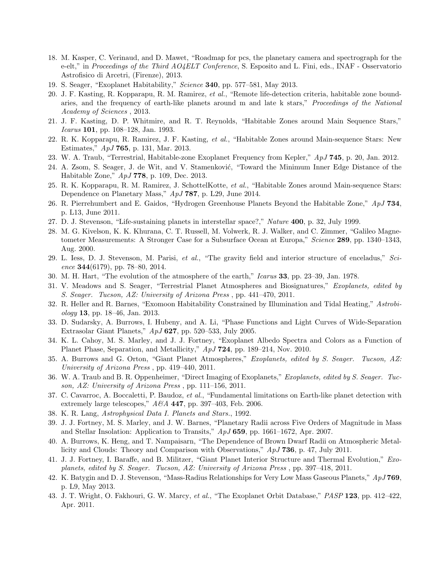- 18. M. Kasper, C. Verinaud, and D. Mawet, "Roadmap for pcs, the planetary camera and spectrograph for the e-elt," in *Proceedings of the Third AO4ELT Conference*, S. Esposito and L. Fini, eds., INAF - Osservatorio Astrofisico di Arcetri, (Firenze), 2013.
- 19. S. Seager, "Exoplanet Habitability," *Science* 340, pp. 577–581, May 2013.
- 20. J. F. Kasting, R. Kopparapu, R. M. Ramirez, *et al.*, "Remote life-detection criteria, habitable zone boundaries, and the frequency of earth-like planets around m and late k stars," *Proceedings of the National Academy of Sciences* , 2013.
- 21. J. F. Kasting, D. P. Whitmire, and R. T. Reynolds, "Habitable Zones around Main Sequence Stars," *Icarus* 101, pp. 108–128, Jan. 1993.
- 22. R. K. Kopparapu, R. Ramirez, J. F. Kasting, *et al.*, "Habitable Zones around Main-sequence Stars: New Estimates," *ApJ* 765, p. 131, Mar. 2013.
- 23. W. A. Traub, "Terrestrial, Habitable-zone Exoplanet Frequency from Kepler," *ApJ* 745, p. 20, Jan. 2012.
- 24. A. Zsom, S. Seager, J. de Wit, and V. Stamenković, "Toward the Minimum Inner Edge Distance of the Habitable Zone," *ApJ* 778, p. 109, Dec. 2013.
- 25. R. K. Kopparapu, R. M. Ramirez, J. SchottelKotte, *et al.*, "Habitable Zones around Main-sequence Stars: Dependence on Planetary Mass," *ApJ* 787, p. L29, June 2014.
- 26. R. Pierrehumbert and E. Gaidos, "Hydrogen Greenhouse Planets Beyond the Habitable Zone," *ApJ* 734, p. L13, June 2011.
- 27. D. J. Stevenson, "Life-sustaining planets in interstellar space?," *Nature* 400, p. 32, July 1999.
- 28. M. G. Kivelson, K. K. Khurana, C. T. Russell, M. Volwerk, R. J. Walker, and C. Zimmer, "Galileo Magnetometer Measurements: A Stronger Case for a Subsurface Ocean at Europa," *Science* 289, pp. 1340–1343, Aug. 2000.
- 29. L. Iess, D. J. Stevenson, M. Parisi, *et al.*, "The gravity field and interior structure of enceladus," *Science* 344(6179), pp. 78–80, 2014.
- 30. M. H. Hart, "The evolution of the atmosphere of the earth," *Icarus* 33, pp. 23–39, Jan. 1978.
- 31. V. Meadows and S. Seager, "Terrestrial Planet Atmospheres and Biosignatures," *Exoplanets, edited by S. Seager. Tucson, AZ: University of Arizona Press* , pp. 441–470, 2011.
- 32. R. Heller and R. Barnes, "Exomoon Habitability Constrained by Illumination and Tidal Heating," *Astrobiology* 13, pp. 18–46, Jan. 2013.
- 33. D. Sudarsky, A. Burrows, I. Hubeny, and A. Li, "Phase Functions and Light Curves of Wide-Separation Extrasolar Giant Planets," *ApJ* 627, pp. 520–533, July 2005.
- 34. K. L. Cahoy, M. S. Marley, and J. J. Fortney, "Exoplanet Albedo Spectra and Colors as a Function of Planet Phase, Separation, and Metallicity," *ApJ* 724, pp. 189–214, Nov. 2010.
- 35. A. Burrows and G. Orton, "Giant Planet Atmospheres," *Exoplanets, edited by S. Seager. Tucson, AZ: University of Arizona Press* , pp. 419–440, 2011.
- 36. W. A. Traub and B. R. Oppenheimer, "Direct Imaging of Exoplanets," *Exoplanets, edited by S. Seager. Tucson, AZ: University of Arizona Press* , pp. 111–156, 2011.
- 37. C. Cavarroc, A. Boccaletti, P. Baudoz, *et al.*, "Fundamental limitations on Earth-like planet detection with extremely large telescopes," *A&A* 447, pp. 397–403, Feb. 2006.
- 38. K. R. Lang, *Astrophysical Data I. Planets and Stars.*, 1992.
- 39. J. J. Fortney, M. S. Marley, and J. W. Barnes, "Planetary Radii across Five Orders of Magnitude in Mass and Stellar Insolation: Application to Transits," *ApJ* 659, pp. 1661–1672, Apr. 2007.
- 40. A. Burrows, K. Heng, and T. Nampaisarn, "The Dependence of Brown Dwarf Radii on Atmospheric Metallicity and Clouds: Theory and Comparison with Observations," *ApJ* 736, p. 47, July 2011.
- 41. J. J. Fortney, I. Baraffe, and B. Militzer, "Giant Planet Interior Structure and Thermal Evolution," *Exoplanets, edited by S. Seager. Tucson, AZ: University of Arizona Press* , pp. 397–418, 2011.
- 42. K. Batygin and D. J. Stevenson, "Mass-Radius Relationships for Very Low Mass Gaseous Planets," *ApJ* 769, p. L9, May 2013.
- 43. J. T. Wright, O. Fakhouri, G. W. Marcy, *et al.*, "The Exoplanet Orbit Database," *PASP* 123, pp. 412–422, Apr. 2011.